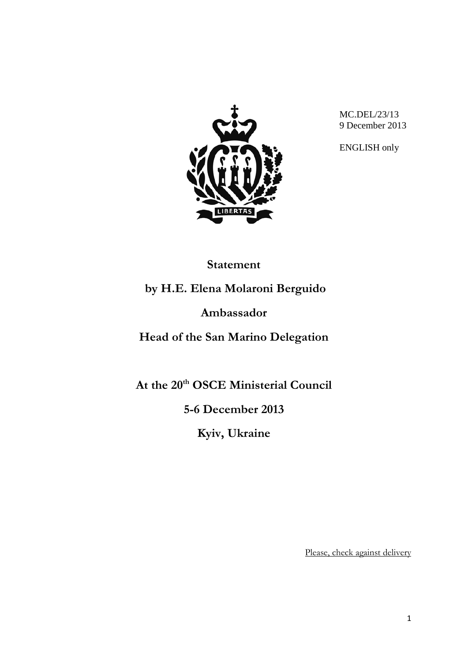

MC.DEL/23/13 9 December 2013

ENGLISH only

## **Statement**

**by H.E. Elena Molaroni Berguido**

**Ambassador**

**Head of the San Marino Delegation**

At the 20<sup>th</sup> **OSCE** Ministerial Council

**5-6 December 2013**

**Kyiv, Ukraine**

Please, check against delivery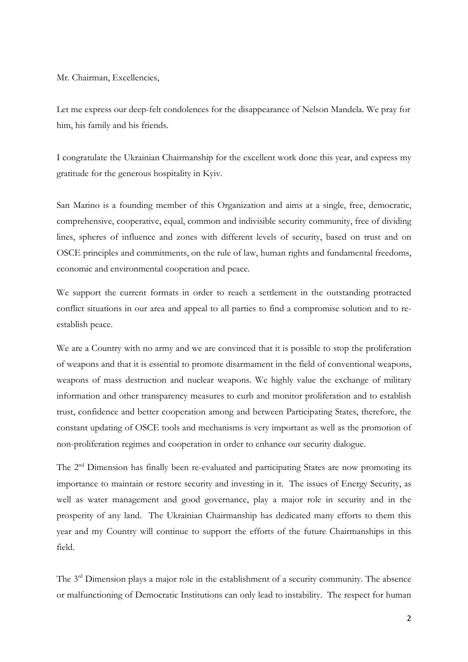Mr. Chairman, Excellencies,

Let me express our deep-felt condolences for the disappearance of Nelson Mandela. We pray for him, his family and his friends.

I congratulate the Ukrainian Chairmanship for the excellent work done this year, and express my gratitude for the generous hospitality in Kyiv.

San Marino is a founding member of this Organization and aims at a single, free, democratic, comprehensive, cooperative, equal, common and indivisible security community, free of dividing lines, spheres of influence and zones with different levels of security, based on trust and on OSCE principles and commitments, on the rule of law, human rights and fundamental freedoms, economic and environmental cooperation and peace.

We support the current formats in order to reach a settlement in the outstanding protracted conflict situations in our area and appeal to all parties to find a compromise solution and to reestablish peace.

We are a Country with no army and we are convinced that it is possible to stop the proliferation of weapons and that it is essential to promote disarmament in the field of conventional weapons, weapons of mass destruction and nuclear weapons. We highly value the exchange of military information and other transparency measures to curb and monitor proliferation and to establish trust, confidence and better cooperation among and between Participating States, therefore, the constant updating of OSCE tools and mechanisms is very important as well as the promotion of non-proliferation regimes and cooperation in order to enhance our security dialogue.

The 2<sup>nd</sup> Dimension has finally been re-evaluated and participating States are now promoting its importance to maintain or restore security and investing in it. The issues of Energy Security, as well as water management and good governance, play a major role in security and in the prosperity of any land. The Ukrainian Chairmanship has dedicated many efforts to them this year and my Country will continue to support the efforts of the future Chairmanships in this field.

The 3<sup>rd</sup> Dimension plays a major role in the establishment of a security community. The absence or malfunctioning of Democratic Institutions can only lead to instability. The respect for human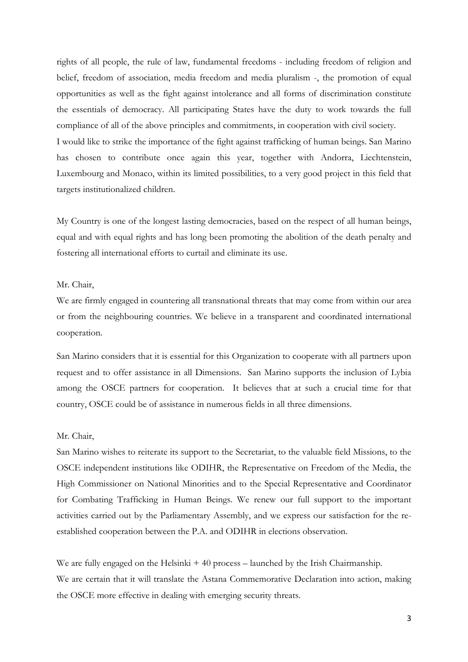rights of all people, the rule of law, fundamental freedoms - including freedom of religion and belief, freedom of association, media freedom and media pluralism -, the promotion of equal opportunities as well as the fight against intolerance and all forms of discrimination constitute the essentials of democracy. All participating States have the duty to work towards the full compliance of all of the above principles and commitments, in cooperation with civil society. I would like to strike the importance of the fight against trafficking of human beings. San Marino has chosen to contribute once again this year, together with Andorra, Liechtenstein, Luxembourg and Monaco, within its limited possibilities, to a very good project in this field that targets institutionalized children.

My Country is one of the longest lasting democracies, based on the respect of all human beings, equal and with equal rights and has long been promoting the abolition of the death penalty and fostering all international efforts to curtail and eliminate its use.

## Mr. Chair,

We are firmly engaged in countering all transnational threats that may come from within our area or from the neighbouring countries. We believe in a transparent and coordinated international cooperation.

San Marino considers that it is essential for this Organization to cooperate with all partners upon request and to offer assistance in all Dimensions. San Marino supports the inclusion of Lybia among the OSCE partners for cooperation. It believes that at such a crucial time for that country, OSCE could be of assistance in numerous fields in all three dimensions.

## Mr. Chair,

San Marino wishes to reiterate its support to the Secretariat, to the valuable field Missions, to the OSCE independent institutions like ODIHR, the Representative on Freedom of the Media, the High Commissioner on National Minorities and to the Special Representative and Coordinator for Combating Trafficking in Human Beings. We renew our full support to the important activities carried out by the Parliamentary Assembly, and we express our satisfaction for the reestablished cooperation between the P.A. and ODIHR in elections observation.

We are fully engaged on the Helsinki + 40 process – launched by the Irish Chairmanship. We are certain that it will translate the Astana Commemorative Declaration into action, making the OSCE more effective in dealing with emerging security threats.